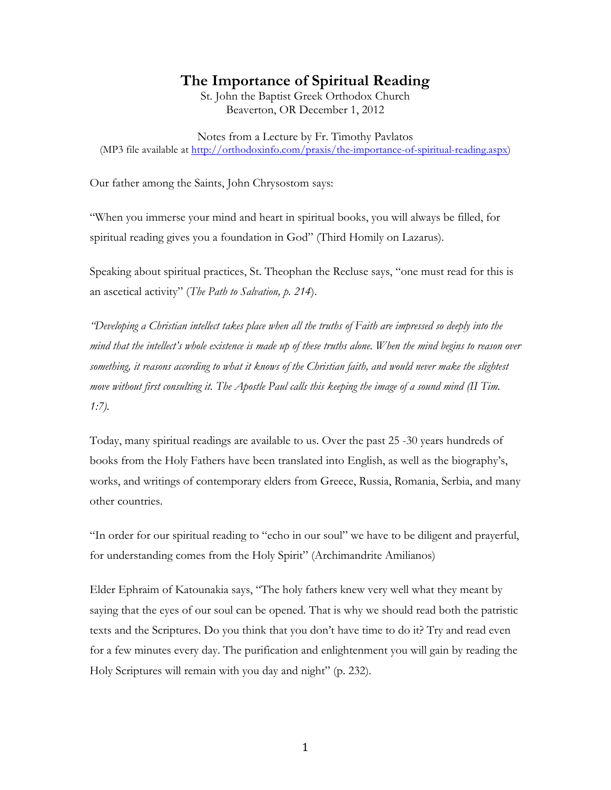# **The Importance of Spiritual Reading**

St. John the Baptist Greek Orthodox Church Beaverton, OR December 1, 2012

Notes from a Lecture by Fr. Timothy Pavlatos (MP3 file available at http://orthodoxinfo.com/praxis/the-importance-of-spiritual-reading.aspx)

Our father among the Saints, John Chrysostom says:

"When you immerse your mind and heart in spiritual books, you will always be filled, for spiritual reading gives you a foundation in God" (Third Homily on Lazarus).

Speaking about spiritual practices, St. Theophan the Recluse says, "one must read for this is an ascetical activity" (*The Path to Salvation, p. 214*).

*"Developing a Christian intellect takes place when all the truths of Faith are impressed so deeply into the mind that the intellect's whole existence is made up of these truths alone. When the mind begins to reason over something, it reasons according to what it knows of the Christian faith, and would never make the slightest move without first consulting it. The Apostle Paul calls this keeping the image of a sound mind (II Tim. 1:7).*

Today, many spiritual readings are available to us. Over the past 25 -30 years hundreds of books from the Holy Fathers have been translated into English, as well as the biography's, works, and writings of contemporary elders from Greece, Russia, Romania, Serbia, and many other countries.

"In order for our spiritual reading to "echo in our soul" we have to be diligent and prayerful, for understanding comes from the Holy Spirit" (Archimandrite Amilianos)

Elder Ephraim of Katounakia says, "The holy fathers knew very well what they meant by saying that the eyes of our soul can be opened. That is why we should read both the patristic texts and the Scriptures. Do you think that you don't have time to do it? Try and read even for a few minutes every day. The purification and enlightenment you will gain by reading the Holy Scriptures will remain with you day and night" (p. 232).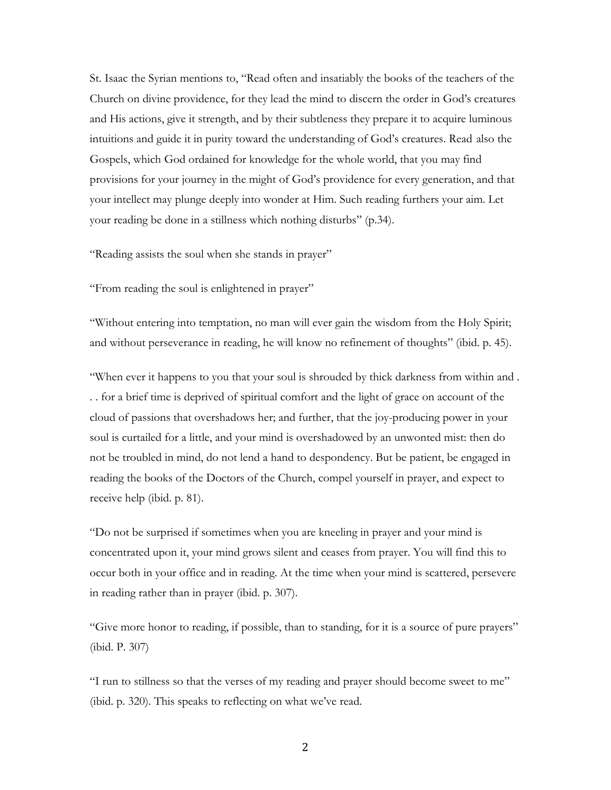St. Isaac the Syrian mentions to, "Read often and insatiably the books of the teachers of the Church on divine providence, for they lead the mind to discern the order in God's creatures and His actions, give it strength, and by their subtleness they prepare it to acquire luminous intuitions and guide it in purity toward the understanding of God's creatures. Readalso the Gospels, which God ordained for knowledge for the whole world, that you may find provisions for your journey in the might of God's providence for every generation, and that your intellect may plunge deeply into wonder at Him. Such reading furthers your aim. Let your reading be done in a stillness which nothing disturbs" (p.34).

"Reading assists the soul when she stands in prayer"

"From reading the soul is enlightened in prayer"

"Without entering into temptation, no man will ever gain the wisdom from the Holy Spirit; and without perseverance in reading, he will know no refinement of thoughts" (ibid. p. 45).

"When ever it happens to you that your soul is shrouded by thick darkness from within and . . . for a brief time is deprived of spiritual comfort and the light of grace on account of the cloud of passions that overshadows her; and further, that the joy-producing power in your soul is curtailed for a little, and your mind is overshadowed by an unwonted mist: then do not be troubled in mind, do not lend a hand to despondency. But be patient, be engaged in reading the books of the Doctors of the Church, compel yourself in prayer, and expect to receive help (ibid. p. 81).

"Do not be surprised if sometimes when you are kneeling in prayer and your mind is concentrated upon it, your mind grows silent and ceases from prayer. You will find this to occur both in your office and in reading. At the time when your mind is scattered, persevere in reading rather than in prayer (ibid. p. 307).

"Give more honor to reading, if possible, than to standing, for it is a source of pure prayers" (ibid. P. 307)

"I run to stillness so that the verses of my reading and prayer should become sweet to me" (ibid. p. 320). This speaks to reflecting on what we've read.

2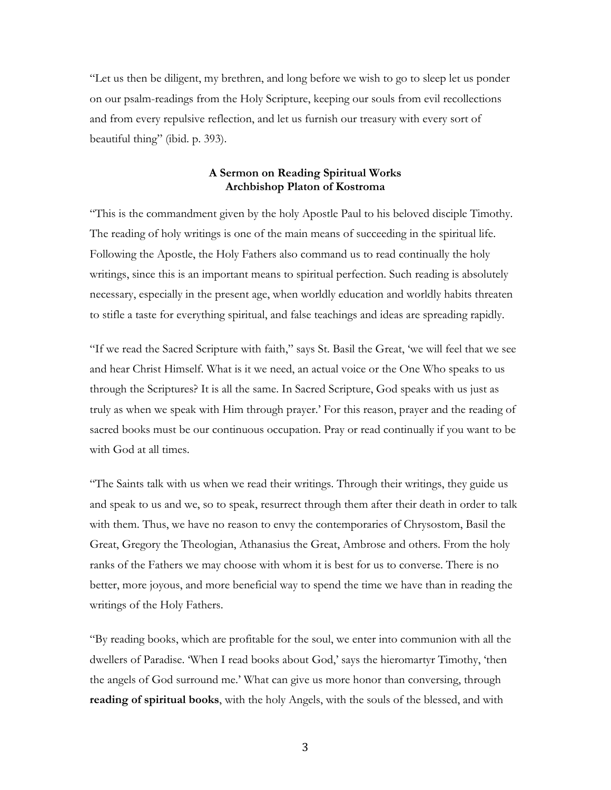"Let us then be diligent, my brethren, and long before we wish to go to sleep let us ponder on our psalm-readings from the Holy Scripture, keeping our souls from evil recollections and from every repulsive reflection, and let us furnish our treasury with every sort of beautiful thing" (ibid. p. 393).

### **A Sermon on Reading Spiritual Works Archbishop Platon of Kostroma**

"This is the commandment given by the holy Apostle Paul to his beloved disciple Timothy. The reading of holy writings is one of the main means of succeeding in the spiritual life. Following the Apostle, the Holy Fathers also command us to read continually the holy writings, since this is an important means to spiritual perfection. Such reading is absolutely necessary, especially in the present age, when worldly education and worldly habits threaten to stifle a taste for everything spiritual, and false teachings and ideas are spreading rapidly.

"If we read the Sacred Scripture with faith," says St. Basil the Great, 'we will feel that we see and hear Christ Himself. What is it we need, an actual voice or the One Who speaks to us through the Scriptures? It is all the same. In Sacred Scripture, God speaks with us just as truly as when we speak with Him through prayer.' For this reason, prayer and the reading of sacred books must be our continuous occupation. Pray or read continually if you want to be with God at all times.

"The Saints talk with us when we read their writings. Through their writings, they guide us and speak to us and we, so to speak, resurrect through them after their death in order to talk with them. Thus, we have no reason to envy the contemporaries of Chrysostom, Basil the Great, Gregory the Theologian, Athanasius the Great, Ambrose and others. From the holy ranks of the Fathers we may choose with whom it is best for us to converse. There is no better, more joyous, and more beneficial way to spend the time we have than in reading the writings of the Holy Fathers.

"By reading books, which are profitable for the soul, we enter into communion with all the dwellers of Paradise. 'When I read books about God,' says the hieromartyr Timothy, 'then the angels of God surround me.' What can give us more honor than conversing, through **reading of spiritual books**, with the holy Angels, with the souls of the blessed, and with

3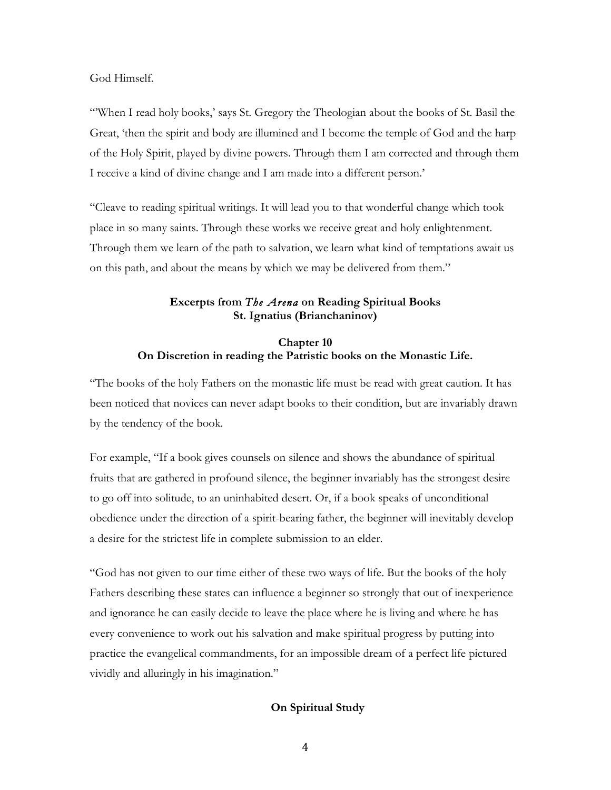God Himself.

"'When I read holy books,' says St. Gregory the Theologian about the books of St. Basil the Great, 'then the spirit and body are illumined and I become the temple of God and the harp of the Holy Spirit, played by divine powers. Through them I am corrected and through them I receive a kind of divine change and I am made into a different person.'

"Cleave to reading spiritual writings. It will lead you to that wonderful change which took place in so many saints. Through these works we receive great and holy enlightenment. Through them we learn of the path to salvation, we learn what kind of temptations await us on this path, and about the means by which we may be delivered from them."

#### **Excerpts from** *The Arena* **on Reading Spiritual Books St. Ignatius (Brianchaninov)**

## **Chapter 10 On Discretion in reading the Patristic books on the Monastic Life.**

"The books of the holy Fathers on the monastic life must be read with great caution. It has been noticed that novices can never adapt books to their condition, but are invariably drawn by the tendency of the book.

For example, "If a book gives counsels on silence and shows the abundance of spiritual fruits that are gathered in profound silence, the beginner invariably has the strongest desire to go off into solitude, to an uninhabited desert. Or, if a book speaks of unconditional obedience under the direction of a spirit-bearing father, the beginner will inevitably develop a desire for the strictest life in complete submission to an elder.

"God has not given to our time either of these two ways of life. But the books of the holy Fathers describing these states can influence a beginner so strongly that out of inexperience and ignorance he can easily decide to leave the place where he is living and where he has every convenience to work out his salvation and make spiritual progress by putting into practice the evangelical commandments, for an impossible dream of a perfect life pictured vividly and alluringly in his imagination."

### **On Spiritual Study**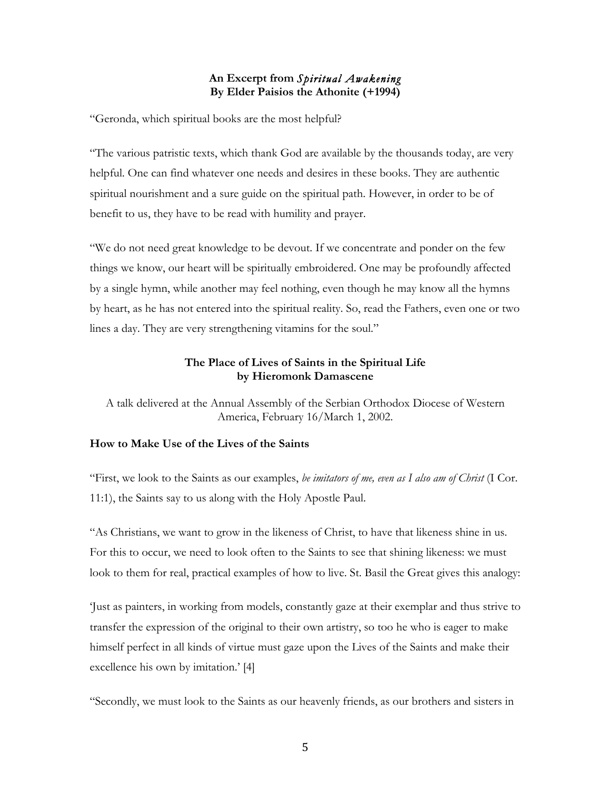### **An Excerpt from** *Spiritual Awakening* **By Elder Paisios the Athonite (+1994)**

"Geronda, which spiritual books are the most helpful?

"The various patristic texts, which thank God are available by the thousands today, are very helpful. One can find whatever one needs and desires in these books. They are authentic spiritual nourishment and a sure guide on the spiritual path. However, in order to be of benefit to us, they have to be read with humility and prayer.

"We do not need great knowledge to be devout. If we concentrate and ponder on the few things we know, our heart will be spiritually embroidered. One may be profoundly affected by a single hymn, while another may feel nothing, even though he may know all the hymns by heart, as he has not entered into the spiritual reality. So, read the Fathers, even one or two lines a day. They are very strengthening vitamins for the soul."

## **The Place of Lives of Saints in the Spiritual Life by Hieromonk Damascene**

A talk delivered at the Annual Assembly of the Serbian Orthodox Diocese of Western America, February 16/March 1, 2002.

### **How to Make Use of the Lives of the Saints**

"First, we look to the Saints as our examples, *be imitators of me, even as I also am of Christ* (I Cor. 11:1), the Saints say to us along with the Holy Apostle Paul.

"As Christians, we want to grow in the likeness of Christ, to have that likeness shine in us. For this to occur, we need to look often to the Saints to see that shining likeness: we must look to them for real, practical examples of how to live. St. Basil the Great gives this analogy:

'Just as painters, in working from models, constantly gaze at their exemplar and thus strive to transfer the expression of the original to their own artistry, so too he who is eager to make himself perfect in all kinds of virtue must gaze upon the Lives of the Saints and make their excellence his own by imitation.' [4]

"Secondly, we must look to the Saints as our heavenly friends, as our brothers and sisters in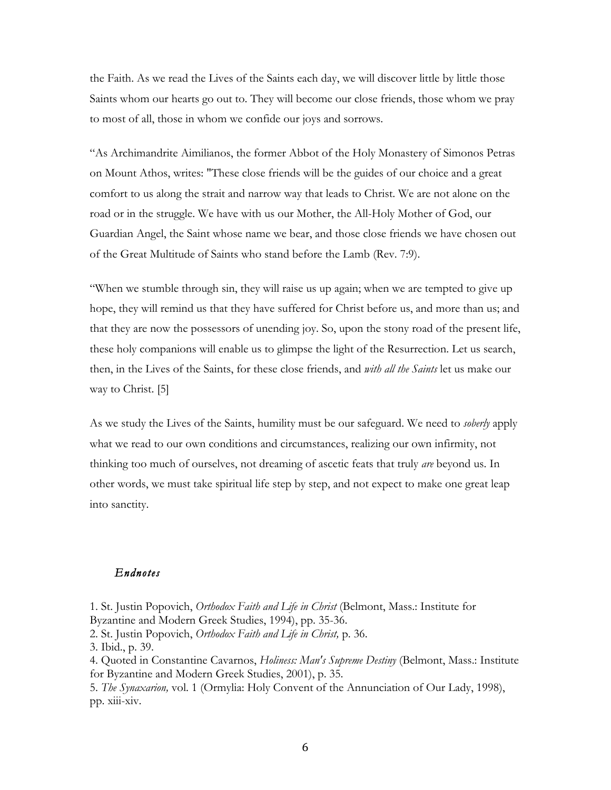the Faith. As we read the Lives of the Saints each day, we will discover little by little those Saints whom our hearts go out to. They will become our close friends, those whom we pray to most of all, those in whom we confide our joys and sorrows.

"As Archimandrite Aimilianos, the former Abbot of the Holy Monastery of Simonos Petras on Mount Athos, writes: "These close friends will be the guides of our choice and a great comfort to us along the strait and narrow way that leads to Christ. We are not alone on the road or in the struggle. We have with us our Mother, the All-Holy Mother of God, our Guardian Angel, the Saint whose name we bear, and those close friends we have chosen out of the Great Multitude of Saints who stand before the Lamb (Rev. 7:9).

"When we stumble through sin, they will raise us up again; when we are tempted to give up hope, they will remind us that they have suffered for Christ before us, and more than us; and that they are now the possessors of unending joy. So, upon the stony road of the present life, these holy companions will enable us to glimpse the light of the Resurrection. Let us search, then, in the Lives of the Saints, for these close friends, and *with all the Saints* let us make our way to Christ. [5]

As we study the Lives of the Saints, humility must be our safeguard. We need to *soberly* apply what we read to our own conditions and circumstances, realizing our own infirmity, not thinking too much of ourselves, not dreaming of ascetic feats that truly *are* beyond us. In other words, we must take spiritual life step by step, and not expect to make one great leap into sanctity.

#### *Endnotes*

1. St. Justin Popovich, *Orthodox Faith and Life in Christ* (Belmont, Mass.: Institute for Byzantine and Modern Greek Studies, 1994), pp. 35-36. 2. St. Justin Popovich, *Orthodox Faith and Life in Christ,* p. 36. 3. Ibid., p. 39. 4. Quoted in Constantine Cavarnos, *Holiness: Man's Supreme Destiny* (Belmont, Mass.: Institute for Byzantine and Modern Greek Studies, 2001), p. 35. 5. *The Synaxarion,* vol. 1 (Ormylia: Holy Convent of the Annunciation of Our Lady, 1998), pp. xiii-xiv.